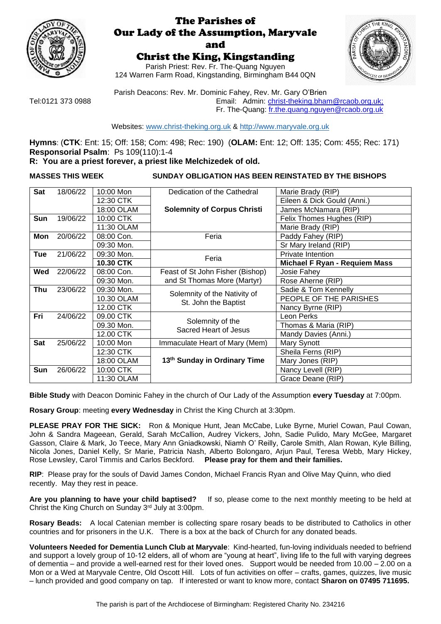

# The Parishes of Our Lady of the Assumption, Maryvale and

# Christ the King, Kingstanding

Parish Priest: Rev. Fr. The-Quang Nguyen 124 Warren Farm Road, Kingstanding, Birmingham B44 0QN



Parish Deacons: Rev. Mr. Dominic Fahey, Rev. Mr. Gary O'Brien [Tel:0121 373 0988](tel:0121%20373%200988) **Email:** Admin: [christ-theking.bham@rcaob.org.uk;](mailto:christ-theking.bham@rcaob.org.uk) Fr. The-Quang: [fr.the.quang.nguyen@rcaob.org.uk](mailto:fr.the.quang.nguyen@rcaob.org.uk)

Websites: [www.christ-theking.org.uk](http://www.christ-theking.org.uk/) & [http://www.maryvale.org.uk](http://www.maryvale.org.uk/)

**Hymns**: (**CTK**: Ent: 15; Off: 158; Com: 498; Rec: 190) (**OLAM:** Ent: 12; Off: 135; Com: 455; Rec: 171) **Responsorial Psalm**: Ps 109(110):1-4 **R: You are a priest forever, a priest like Melchizedek of old.**

# **MASSES THIS WEEK SUNDAY OBLIGATION HAS BEEN REINSTATED BY THE BISHOPS**

| Sat        | 18/06/22 | 10:00 Mon        | Dedication of the Cathedral               | Marie Brady (RIP)             |  |  |  |
|------------|----------|------------------|-------------------------------------------|-------------------------------|--|--|--|
|            |          | 12:30 CTK        |                                           | Eileen & Dick Gould (Anni.)   |  |  |  |
|            |          | 18:00 OLAM       | <b>Solemnity of Corpus Christi</b>        | James McNamara (RIP)          |  |  |  |
| <b>Sun</b> | 19/06/22 | 10:00 CTK        |                                           | Felix Thomes Hughes (RIP)     |  |  |  |
|            |          | 11:30 OLAM       |                                           | Marie Brady (RIP)             |  |  |  |
| Mon        | 20/06/22 | 08:00 Con.       | Feria                                     | Paddy Fahey (RIP)             |  |  |  |
|            |          | 09:30 Mon.       |                                           | Sr Mary Ireland (RIP)         |  |  |  |
| Tue        | 21/06/22 | 09:30 Mon.       | Feria                                     | Private Intention             |  |  |  |
|            |          | <b>10.30 CTK</b> |                                           | Michael F Ryan - Requiem Mass |  |  |  |
| Wed        | 22/06/22 | 08:00 Con.       | Feast of St John Fisher (Bishop)          | Josie Fahey                   |  |  |  |
|            |          | 09:30 Mon.       | and St Thomas More (Martyr)               | Rose Aherne (RIP)             |  |  |  |
| Thu        | 23/06/22 | 09:30 Mon.       | Solemnity of the Nativity of              | Sadie & Tom Kennelly          |  |  |  |
|            |          | 10.30 OLAM       | St. John the Baptist                      | PEOPLE OF THE PARISHES        |  |  |  |
|            |          | 12.00 CTK        |                                           | Nancy Byrne (RIP)             |  |  |  |
| Fri        | 24/06/22 | 09.00 CTK        | Solemnity of the<br>Sacred Heart of Jesus | Leon Perks                    |  |  |  |
|            |          | 09.30 Mon.       |                                           | Thomas & Maria (RIP)          |  |  |  |
|            |          | 12.00 CTK        |                                           | Mandy Davies (Anni.)          |  |  |  |
| <b>Sat</b> | 25/06/22 | 10:00 Mon        | Immaculate Heart of Mary (Mem)            | Mary Synott                   |  |  |  |
|            |          | 12:30 CTK        |                                           | Sheila Ferns (RIP)            |  |  |  |
|            |          | 18:00 OLAM       | 13th Sunday in Ordinary Time              | Mary Jones (RIP)              |  |  |  |
| Sun        | 26/06/22 | 10:00 CTK        |                                           | Nancy Levell (RIP)            |  |  |  |
|            |          | 11:30 OLAM       |                                           | Grace Deane (RIP)             |  |  |  |

**Bible Study** with Deacon Dominic Fahey in the church of Our Lady of the Assumption **every Tuesday** at 7:00pm.

**Rosary Group**: meeting **every Wednesday** in Christ the King Church at 3:30pm.

**PLEASE PRAY FOR THE SICK:** Ron & Monique Hunt, Jean McCabe, Luke Byrne, Muriel Cowan, Paul Cowan, John & Sandra Mageean, Gerald, Sarah McCallion, Audrey Vickers, John, Sadie Pulido, Mary McGee, Margaret Gasson, Claire & Mark, Jo Teece, Mary Ann Gniadkowski, Niamh O' Reilly, Carole Smith, Alan Rowan, Kyle Billing, Nicola Jones, Daniel Kelly, Sr Marie, Patricia Nash, Alberto Bolongaro, Arjun Paul, Teresa Webb, Mary Hickey, Rose Lewsley, Carol Timmis and Carlos Beckford. **Please pray for them and their families.**

**RIP**: Please pray for the souls of David James Condon, Michael Francis Ryan and Olive May Quinn, who died recently. May they rest in peace.

**Are you planning to have your child baptised?** If so, please come to the next monthly meeting to be held at Christ the King Church on Sunday 3rd July at 3:00pm.

**Rosary Beads:** A local Catenian member is collecting spare rosary beads to be distributed to Catholics in other countries and for prisoners in the U.K. There is a box at the back of Church for any donated beads.

**Volunteers Needed for Dementia Lunch Club at Maryvale**: Kind-hearted, fun-loving individuals needed to befriend and support a lovely group of 10-12 elders, all of whom are "young at heart", living life to the full with varying degrees of dementia – and provide a well-earned rest for their loved ones. Support would be needed from 10.00 – 2.00 on a Mon or a Wed at Maryvale Centre, Old Oscott Hill. Lots of fun activities on offer – crafts, games, quizzes, live music – lunch provided and good company on tap. If interested or want to know more, contact **Sharon on 07495 711695.**